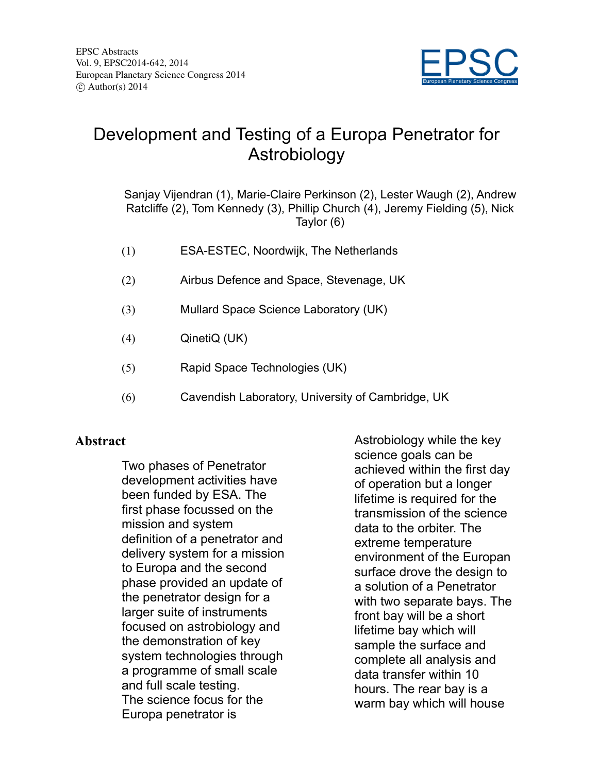

## Development and Testing of a Europa Penetrator for Astrobiology

Sanjay Vijendran (1), Marie-Claire Perkinson (2), Lester Waugh (2), Andrew Ratcliffe (2), Tom Kennedy (3), Phillip Church (4), Jeremy Fielding (5), Nick Taylor (6)

- (1) ESA-ESTEC, Noordwijk, The Netherlands
- (2) Airbus Defence and Space, Stevenage, UK
- (3) Mullard Space Science Laboratory (UK)
- (4) QinetiQ (UK)
- (5) Rapid Space Technologies (UK)
- (6) Cavendish Laboratory, University of Cambridge, UK

## **Abstract**

Two phases of Penetrator development activities have been funded by ESA. The first phase focussed on the mission and system definition of a penetrator and delivery system for a mission to Europa and the second phase provided an update of the penetrator design for a larger suite of instruments focused on astrobiology and the demonstration of key system technologies through a programme of small scale and full scale testing. The science focus for the Europa penetrator is

Astrobiology while the key science goals can be achieved within the first day of operation but a longer lifetime is required for the transmission of the science data to the orbiter. The extreme temperature environment of the Europan surface drove the design to a solution of a Penetrator with two separate bays. The front bay will be a short lifetime bay which will sample the surface and complete all analysis and data transfer within 10 hours. The rear bay is a warm bay which will house